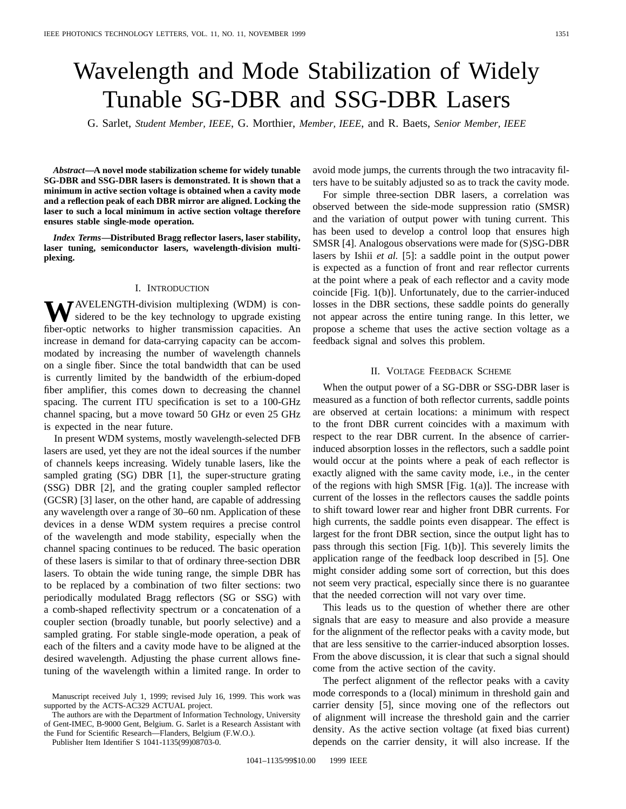# Wavelength and Mode Stabilization of Widely Tunable SG-DBR and SSG-DBR Lasers

G. Sarlet, *Student Member, IEEE*, G. Morthier, *Member, IEEE*, and R. Baets, *Senior Member, IEEE*

*Abstract—***A novel mode stabilization scheme for widely tunable SG-DBR and SSG-DBR lasers is demonstrated. It is shown that a minimum in active section voltage is obtained when a cavity mode and a reflection peak of each DBR mirror are aligned. Locking the laser to such a local minimum in active section voltage therefore ensures stable single-mode operation.**

*Index Terms—***Distributed Bragg reflector lasers, laser stability, laser tuning, semiconductor lasers, wavelength-division multiplexing.**

## I. INTRODUCTION

**W**AVELENGTH-division multiplexing (WDM) is considered to be the key technology to upgrade existing fiber-optic networks to higher transmission capacities. An increase in demand for data-carrying capacity can be accommodated by increasing the number of wavelength channels on a single fiber. Since the total bandwidth that can be used is currently limited by the bandwidth of the erbium-doped fiber amplifier, this comes down to decreasing the channel spacing. The current ITU specification is set to a 100-GHz channel spacing, but a move toward 50 GHz or even 25 GHz is expected in the near future.

In present WDM systems, mostly wavelength-selected DFB lasers are used, yet they are not the ideal sources if the number of channels keeps increasing. Widely tunable lasers, like the sampled grating (SG) DBR [1], the super-structure grating (SSG) DBR [2], and the grating coupler sampled reflector (GCSR) [3] laser, on the other hand, are capable of addressing any wavelength over a range of 30–60 nm. Application of these devices in a dense WDM system requires a precise control of the wavelength and mode stability, especially when the channel spacing continues to be reduced. The basic operation of these lasers is similar to that of ordinary three-section DBR lasers. To obtain the wide tuning range, the simple DBR has to be replaced by a combination of two filter sections: two periodically modulated Bragg reflectors (SG or SSG) with a comb-shaped reflectivity spectrum or a concatenation of a coupler section (broadly tunable, but poorly selective) and a sampled grating. For stable single-mode operation, a peak of each of the filters and a cavity mode have to be aligned at the desired wavelength. Adjusting the phase current allows finetuning of the wavelength within a limited range. In order to

The authors are with the Department of Information Technology, University of Gent-IMEC, B-9000 Gent, Belgium. G. Sarlet is a Research Assistant with the Fund for Scientific Research—Flanders, Belgium (F.W.O.).

Publisher Item Identifier S 1041-1135(99)08703-0.

avoid mode jumps, the currents through the two intracavity filters have to be suitably adjusted so as to track the cavity mode.

For simple three-section DBR lasers, a correlation was observed between the side-mode suppression ratio (SMSR) and the variation of output power with tuning current. This has been used to develop a control loop that ensures high SMSR [4]. Analogous observations were made for (S)SG-DBR lasers by Ishii *et al.* [5]: a saddle point in the output power is expected as a function of front and rear reflector currents at the point where a peak of each reflector and a cavity mode coincide [Fig. 1(b)]. Unfortunately, due to the carrier-induced losses in the DBR sections, these saddle points do generally not appear across the entire tuning range. In this letter, we propose a scheme that uses the active section voltage as a feedback signal and solves this problem.

## II. VOLTAGE FEEDBACK SCHEME

When the output power of a SG-DBR or SSG-DBR laser is measured as a function of both reflector currents, saddle points are observed at certain locations: a minimum with respect to the front DBR current coincides with a maximum with respect to the rear DBR current. In the absence of carrierinduced absorption losses in the reflectors, such a saddle point would occur at the points where a peak of each reflector is exactly aligned with the same cavity mode, i.e., in the center of the regions with high SMSR [Fig. 1(a)]. The increase with current of the losses in the reflectors causes the saddle points to shift toward lower rear and higher front DBR currents. For high currents, the saddle points even disappear. The effect is largest for the front DBR section, since the output light has to pass through this section [Fig. 1(b)]. This severely limits the application range of the feedback loop described in [5]. One might consider adding some sort of correction, but this does not seem very practical, especially since there is no guarantee that the needed correction will not vary over time.

This leads us to the question of whether there are other signals that are easy to measure and also provide a measure for the alignment of the reflector peaks with a cavity mode, but that are less sensitive to the carrier-induced absorption losses. From the above discussion, it is clear that such a signal should come from the active section of the cavity.

The perfect alignment of the reflector peaks with a cavity mode corresponds to a (local) minimum in threshold gain and carrier density [5], since moving one of the reflectors out of alignment will increase the threshold gain and the carrier density. As the active section voltage (at fixed bias current) depends on the carrier density, it will also increase. If the

Manuscript received July 1, 1999; revised July 16, 1999. This work was supported by the ACTS-AC329 ACTUAL project.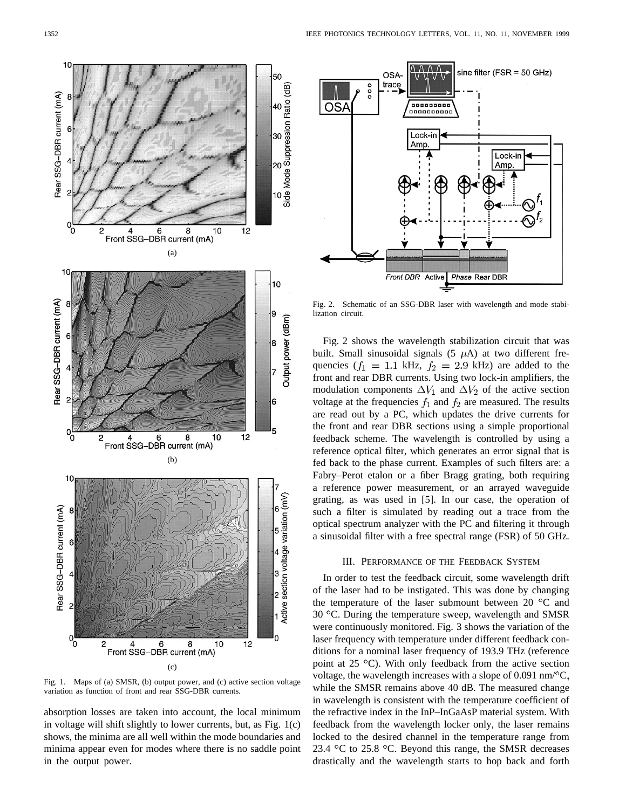

Fig. 1. Maps of (a) SMSR, (b) output power, and (c) active section voltage variation as function of front and rear SSG-DBR currents.

absorption losses are taken into account, the local minimum in voltage will shift slightly to lower currents, but, as Fig. 1(c) shows, the minima are all well within the mode boundaries and minima appear even for modes where there is no saddle point in the output power.



Fig. 2. Schematic of an SSG-DBR laser with wavelength and mode stabilization circuit.

Fig. 2 shows the wavelength stabilization circuit that was built. Small sinusoidal signals  $(5 \mu A)$  at two different frequencies ( $f_1 = 1.1$  kHz,  $f_2 = 2.9$  kHz) are added to the front and rear DBR currents. Using two lock-in amplifiers, the modulation components  $\Delta V_1$  and  $\Delta V_2$  of the active section voltage at the frequencies  $f_1$  and  $f_2$  are measured. The results are read out by a PC, which updates the drive currents for the front and rear DBR sections using a simple proportional feedback scheme. The wavelength is controlled by using a reference optical filter, which generates an error signal that is fed back to the phase current. Examples of such filters are: a Fabry–Perot etalon or a fiber Bragg grating, both requiring a reference power measurement, or an arrayed waveguide grating, as was used in [5]. In our case, the operation of such a filter is simulated by reading out a trace from the optical spectrum analyzer with the PC and filtering it through a sinusoidal filter with a free spectral range (FSR) of 50 GHz.

#### III. PERFORMANCE OF THE FEEDBACK SYSTEM

In order to test the feedback circuit, some wavelength drift of the laser had to be instigated. This was done by changing the temperature of the laser submount between 20 $\degree$ C and  $30^{\circ}$ C. During the temperature sweep, wavelength and SMSR were continuously monitored. Fig. 3 shows the variation of the laser frequency with temperature under different feedback conditions for a nominal laser frequency of 193.9 THz (reference point at  $25^{\circ}$ C). With only feedback from the active section voltage, the wavelength increases with a slope of  $0.091$  nm/ $\mathrm{C}$ , while the SMSR remains above 40 dB. The measured change in wavelength is consistent with the temperature coefficient of the refractive index in the InP–InGaAsP material system. With feedback from the wavelength locker only, the laser remains locked to the desired channel in the temperature range from 23.4  $\degree$ C to 25.8  $\degree$ C. Beyond this range, the SMSR decreases drastically and the wavelength starts to hop back and forth